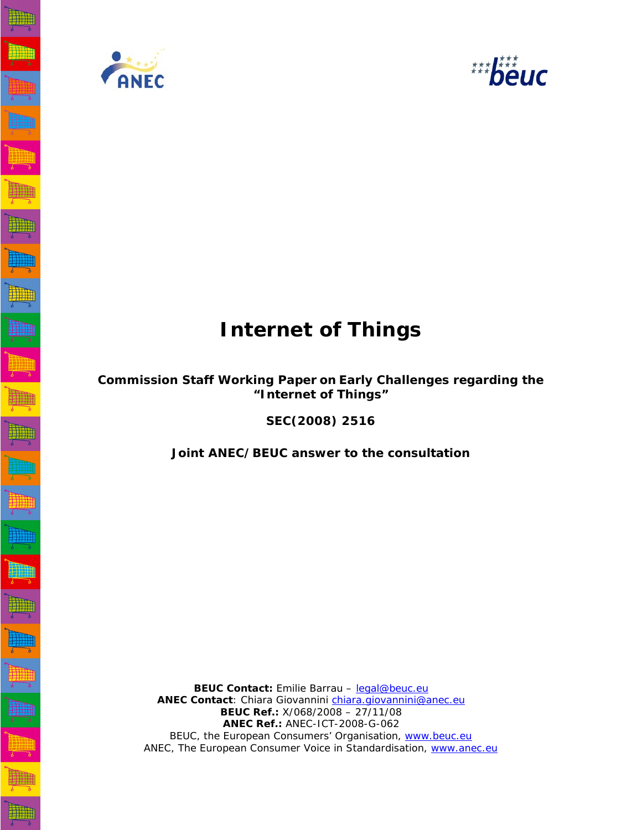



# **Internet of Things**

# **Commission Staff Working Paper on Early Challenges regarding the "Internet of Things"**

**SEC(2008) 2516** 

**Joint ANEC/BEUC answer to the consultation**

 **BEUC Contact:** Emilie Barrau – legal@beuc.eu **ANEC Contact**: Chiara Giovannini chiara.giovannini@anec.eu  **BEUC Ref.:** X/068/2008 – 27/11/08 **ANEC Ref.:** ANEC-ICT-2008-G-062 BEUC, the European Consumers' Organisation, www.beuc.eu ANEC, The European Consumer Voice in Standardisation, www.anec.eu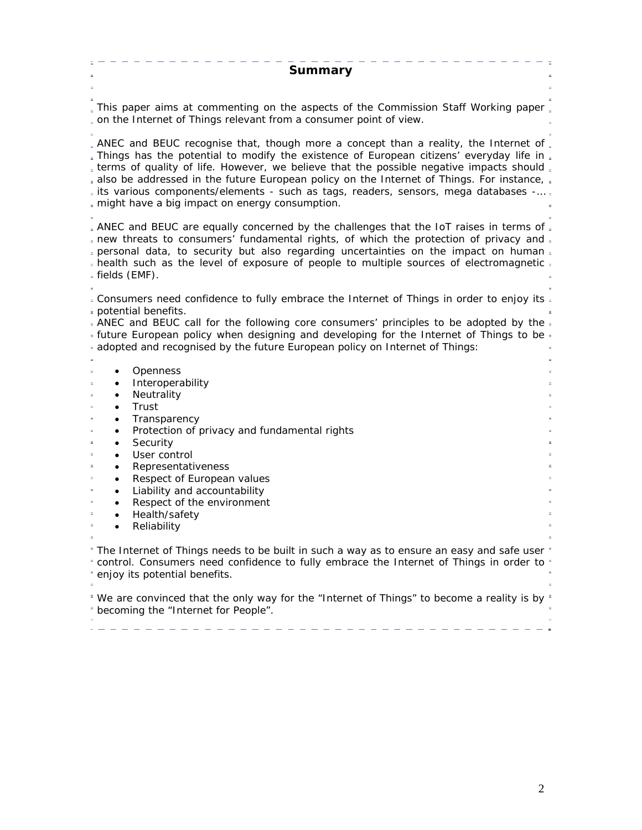| Summary                                                                                                                                                                                                                                                                                                                                                                                                                                                                                                                              |
|--------------------------------------------------------------------------------------------------------------------------------------------------------------------------------------------------------------------------------------------------------------------------------------------------------------------------------------------------------------------------------------------------------------------------------------------------------------------------------------------------------------------------------------|
| . This paper aims at commenting on the aspects of the Commission Staff Working paper.<br>. on the Internet of Things relevant from a consumer point of view.                                                                                                                                                                                                                                                                                                                                                                         |
| . ANEC and BEUC recognise that, though more a concept than a reality, the Internet of.<br>. Things has the potential to modify the existence of European citizens' everyday life in .<br>. terms of quality of life. However, we believe that the possible negative impacts should.<br>. also be addressed in the future European policy on the Internet of Things. For instance, .<br>active its various components/elements - such as tags, readers, sensors, mega databases -<br>. might have a big impact on energy consumption. |
| . ANEC and BEUC are equally concerned by the challenges that the IoT raises in terms of.<br>- new threats to consumers' fundamental rights, of which the protection of privacy and -<br>= personal data, to security but also regarding uncertainties on the impact on human =<br>- health such as the level of exposure of people to multiple sources of electromagnetic =<br>= fields (EMF).                                                                                                                                       |
| = Consumers need confidence to fully embrace the Internet of Things in order to enjoy its<br>potential benefits.<br>- ANEC and BEUC call for the following core consumers' principles to be adopted by the -<br>= future European policy when designing and developing for the Internet of Things to be<br>adopted and recognised by the future European policy on Internet of Things:                                                                                                                                               |
| Openness<br>$\bullet$<br>Interoperability<br>$\bullet$<br>Neutrality<br>$\bullet$<br>Trust<br>٠<br>Transparency<br>$\bullet$                                                                                                                                                                                                                                                                                                                                                                                                         |
| Protection of privacy and fundamental rights<br>$\bullet$<br>Security<br>$\bullet$<br>User control<br>$\bullet$<br>Representativeness<br>٠<br>Respect of European values<br>٠<br>Liability and accountability<br>$\bullet$                                                                                                                                                                                                                                                                                                           |
| Respect of the environment<br>٠<br>Health/safety<br>$\bullet$<br>Reliability                                                                                                                                                                                                                                                                                                                                                                                                                                                         |
| " The Internet of Things needs to be built in such a way as to ensure an easy and safe user "<br>* control. Consumers need confidence to fully embrace the Internet of Things in order to<br>enjoy its potential benefits.                                                                                                                                                                                                                                                                                                           |
| "We are convinced that the only way for the "Internet of Things" to become a reality is by "<br>" becoming the "Internet for People".                                                                                                                                                                                                                                                                                                                                                                                                |
|                                                                                                                                                                                                                                                                                                                                                                                                                                                                                                                                      |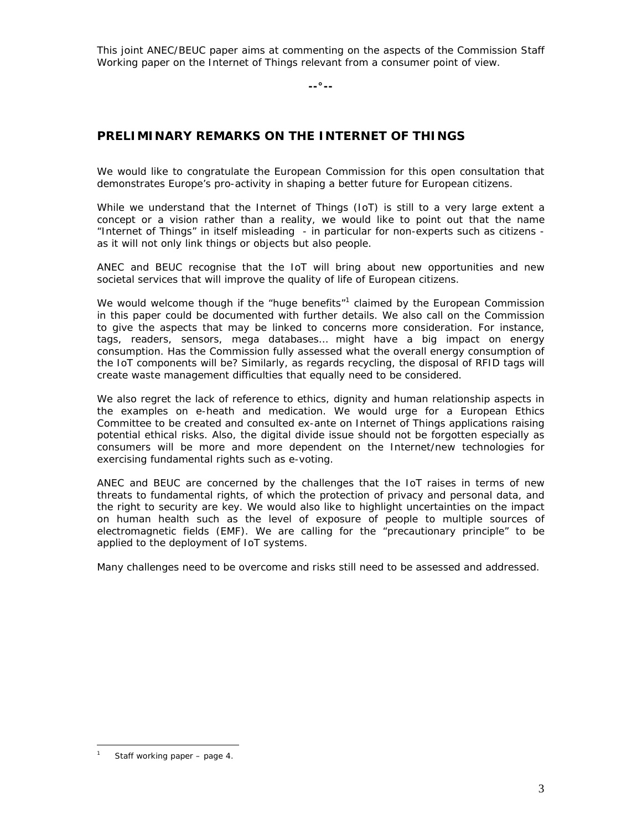This joint ANEC/BEUC paper aims at commenting on the aspects of the Commission Staff Working paper on the Internet of Things relevant from a consumer point of view.

**--°--** 

## **PRELIMINARY REMARKS ON THE INTERNET OF THINGS**

We would like to congratulate the European Commission for this open consultation that demonstrates Europe's pro-activity in shaping a better future for European citizens.

While we understand that the Internet of Things (IoT) is still to a very large extent a concept or a vision rather than a reality, we would like to point out that the name "Internet of Things" in itself misleading - in particular for non-experts such as citizens as it will not only link things or objects but also people.

ANEC and BEUC recognise that the IoT will bring about new opportunities and new societal services that will improve the quality of life of European citizens.

We would welcome though if the "huge benefits" $1$  claimed by the European Commission in this paper could be documented with further details. We also call on the Commission to give the aspects that may be linked to concerns more consideration. For instance, tags, readers, sensors, mega databases… might have a big impact on energy consumption. Has the Commission fully assessed what the overall energy consumption of the IoT components will be? Similarly, as regards recycling, the disposal of RFID tags will create waste management difficulties that equally need to be considered.

We also regret the lack of reference to ethics, dignity and human relationship aspects in the examples on e-heath and medication. We would urge for a European Ethics Committee to be created and consulted ex-ante on Internet of Things applications raising potential ethical risks. Also, the digital divide issue should not be forgotten especially as consumers will be more and more dependent on the Internet/new technologies for exercising fundamental rights such as e-voting.

ANEC and BEUC are concerned by the challenges that the IoT raises in terms of new threats to fundamental rights, of which the protection of privacy and personal data, and the right to security are key. We would also like to highlight uncertainties on the impact on human health such as the level of exposure of people to multiple sources of electromagnetic fields (EMF). We are calling for the "precautionary principle" to be applied to the deployment of IoT systems.

Many challenges need to be overcome and risks still need to be assessed and addressed.

 $\overline{a}$ 1 Staff working paper – page 4.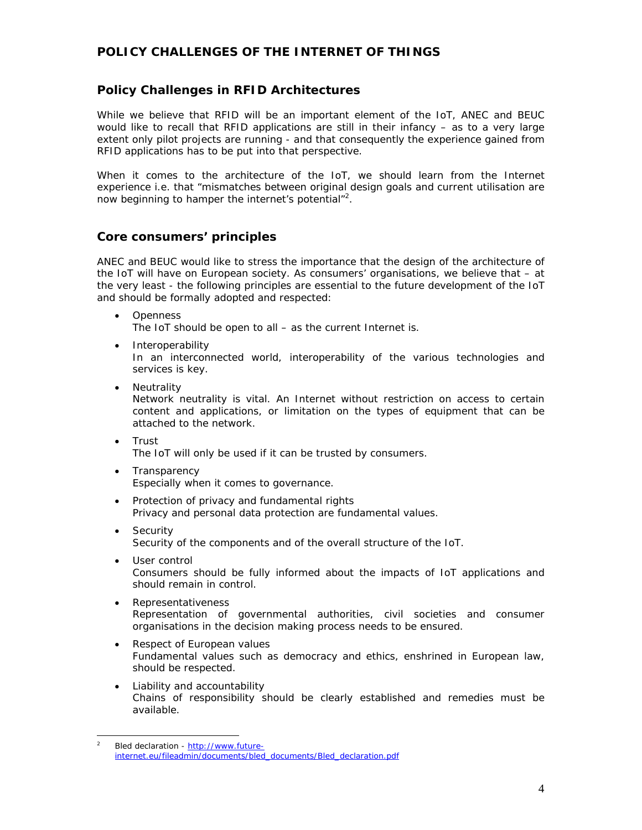#### **POLICY CHALLENGES OF THE INTERNET OF THINGS**

#### *Policy Challenges in RFID Architectures*

While we believe that RFID will be an important element of the IoT, ANEC and BEUC would like to recall that RFID applications are still in their infancy – as to a very large extent only pilot projects are running - and that consequently the experience gained from RFID applications has to be put into that perspective.

When it comes to the architecture of the IoT, we should learn from the Internet experience i.e. that "*mismatches between original design goals and current utilisation are now beginning to hamper the internet's potential*"2 .

#### *Core consumers' principles*

ANEC and BEUC would like to stress the importance that the design of the architecture of the IoT will have on European society. As consumers' organisations, we believe that – at the very least - the following principles are essential to the future development of the IoT and should be formally adopted and respected:

- *Openness*  The IoT should be open to all – as the current Internet is.
- *Interoperability*  In an interconnected world, interoperability of the various technologies and services is key.
- *Neutrality*  Network neutrality is vital. An Internet without restriction on access to certain content and applications, or limitation on the types of equipment that can be attached to the network.
- *Trust*  The IoT will only be used if it can be trusted by consumers.
- *Transparency*  Especially when it comes to governance.
- *Protection of privacy and fundamental rights*  Privacy and personal data protection are fundamental values.
- *Security*  Security of the components and of the overall structure of the IoT.
- *User control*  Consumers should be fully informed about the impacts of IoT applications and should remain in control.
- *Representativeness*  Representation of governmental authorities, civil societies and consumer organisations in the decision making process needs to be ensured.
- *Respect of European values*  Fundamental values such as democracy and ethics, enshrined in European law, should be respected.
- *Liability and accountability*  Chains of responsibility should be clearly established and remedies must be available.

 $\frac{1}{2}$  Bled declaration - http://www.futureinternet.eu/fileadmin/documents/bled\_documents/Bled\_declaration.pdf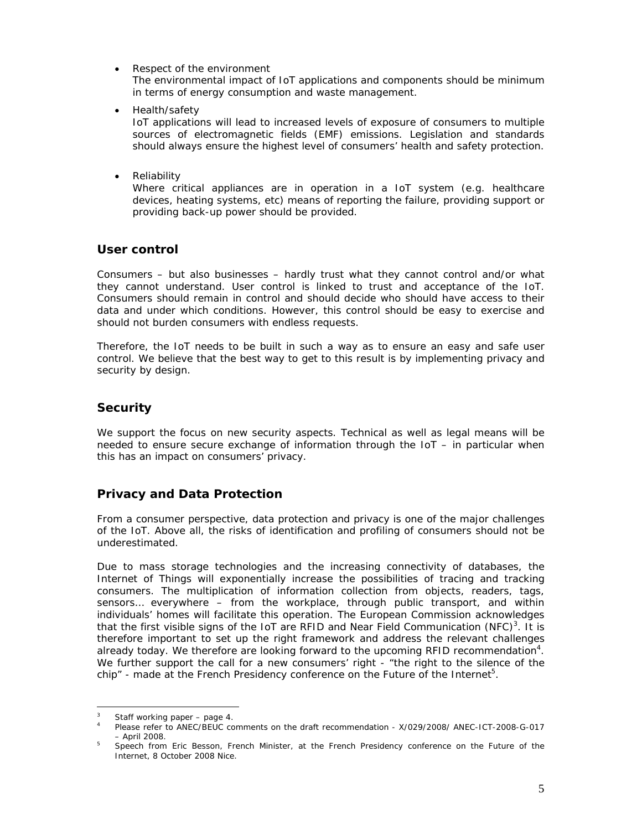• *Respect of the environment* 

The environmental impact of IoT applications and components should be minimum in terms of energy consumption and waste management.

• *Health/safety* 

IoT applications will lead to increased levels of exposure of consumers to multiple sources of electromagnetic fields (EMF) emissions. Legislation and standards should always ensure the highest level of consumers' health and safety protection.

• *Reliability* 

Where critical appliances are in operation in a IoT system (e.g. healthcare devices, heating systems, etc) means of reporting the failure, providing support or providing back-up power should be provided.

#### *User control*

Consumers – but also businesses – hardly trust what they cannot control and/or what they cannot understand. User control is linked to trust and acceptance of the IoT. Consumers should remain in control and should decide who should have access to their data and under which conditions. However, this control should be easy to exercise and should not burden consumers with endless requests.

Therefore, the IoT needs to be built in such a way as to ensure an easy and safe user control. We believe that the best way to get to this result is by implementing privacy and security by design.

#### *Security*

We support the focus on new security aspects. Technical as well as legal means will be needed to ensure secure exchange of information through the IoT – in particular when this has an impact on consumers' privacy.

#### *Privacy and Data Protection*

From a consumer perspective, data protection and privacy is one of the major challenges of the IoT. Above all, the risks of identification and profiling of consumers should not be underestimated.

Due to mass storage technologies and the increasing connectivity of databases, the Internet of Things will exponentially increase the possibilities of tracing and tracking consumers. The multiplication of information collection from objects, readers, tags, sensors… everywhere – from the workplace, through public transport, and within individuals' homes will facilitate this operation. The European Commission acknowledges that the first visible signs of the IoT are RFID and Near Field Communication (NFC)<sup>3</sup>. It is therefore important to set up the right framework and address the relevant challenges already today. We therefore are looking forward to the upcoming RFID recommendation<sup>4</sup>. We further support the call for a new consumers' right - "the right to the silence of the chip" - made at the French Presidency conference on the Future of the Internet<sup>5</sup>.

 $\frac{1}{3}$ Staff working paper – page 4.

<sup>4</sup> Please refer to ANEC/BEUC comments on the draft recommendation - X/029/2008/ ANEC-ICT-2008-G-017

<sup>–</sup> April 2008. 5 Speech from Eric Besson, French Minister, at the French Presidency conference on the Future of the Internet, 8 October 2008 Nice.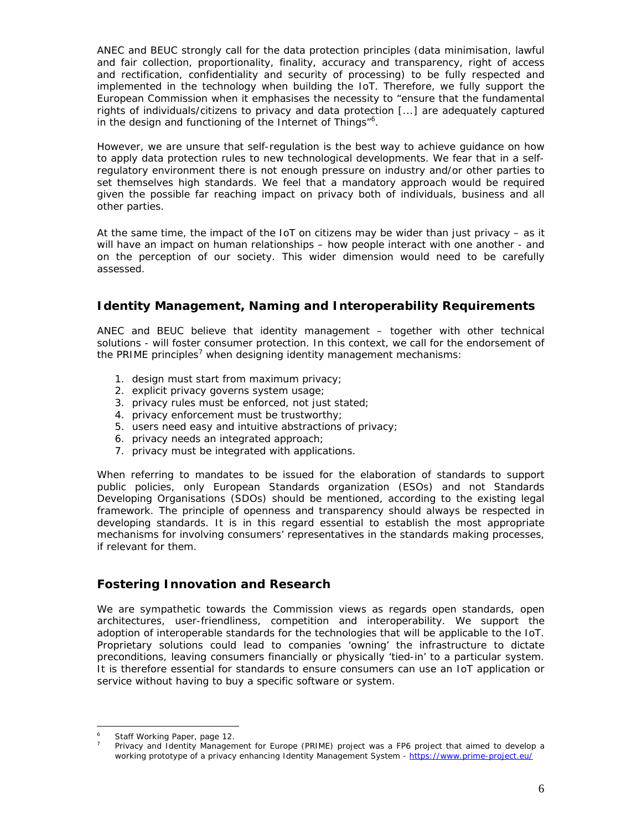ANEC and BEUC strongly call for the data protection principles (data minimisation, lawful and fair collection, proportionality, finality, accuracy and transparency, right of access and rectification, confidentiality and security of processing) to be fully respected and implemented in the technology when building the IoT. Therefore, we fully support the European Commission when it emphasises the necessity to "*ensure that the fundamental rights of individuals/citizens to privacy and data protection [...] are adequately captured in the design and functioning of the Internet of Things*" 6 .

However, we are unsure that self-regulation is the best way to achieve guidance on how to apply data protection rules to new technological developments. We fear that in a selfregulatory environment there is not enough pressure on industry and/or other parties to set themselves high standards. We feel that a mandatory approach would be required given the possible far reaching impact on privacy both of individuals, business and all other parties.

At the same time, the impact of the IoT on citizens may be wider than just privacy – as it will have an impact on human relationships – how people interact with one another - and on the perception of our society. This wider dimension would need to be carefully assessed.

#### *Identity Management, Naming and Interoperability Requirements*

ANEC and BEUC believe that identity management – together with other technical solutions - will foster consumer protection. In this context, we call for the endorsement of the PRIME principles<sup>7</sup> when designing identity management mechanisms:

- 1. design must start from maximum privacy;
- 2. explicit privacy governs system usage;
- 3. privacy rules must be enforced, not just stated;
- 4. privacy enforcement must be trustworthy;
- 5. users need easy and intuitive abstractions of privacy;
- 6. privacy needs an integrated approach;
- 7. privacy must be integrated with applications.

When referring to mandates to be issued for the elaboration of standards to support public policies, only European Standards organization (ESOs) and not Standards Developing Organisations (SDOs) should be mentioned, according to the existing legal framework. The principle of openness and transparency should always be respected in developing standards. It is in this regard essential to establish the most appropriate mechanisms for involving consumers' representatives in the standards making processes, if relevant for them.

#### *Fostering Innovation and Research*

We are sympathetic towards the Commission views as regards open standards, open architectures, user-friendliness, competition and interoperability. We support the adoption of interoperable standards for the technologies that will be applicable to the IoT. Proprietary solutions could lead to companies 'owning' the infrastructure to dictate preconditions, leaving consumers financially or physically 'tied-in' to a particular system. It is therefore essential for standards to ensure consumers can use an IoT application or service without having to buy a specific software or system.

 $\overline{6}$ Staff Working Paper, page 12.

<sup>7</sup> Privacy and Identity Management for Europe (PRIME) project was a FP6 project that aimed to develop a working prototype of a privacy enhancing Identity Management System - https://www.prime-project.eu/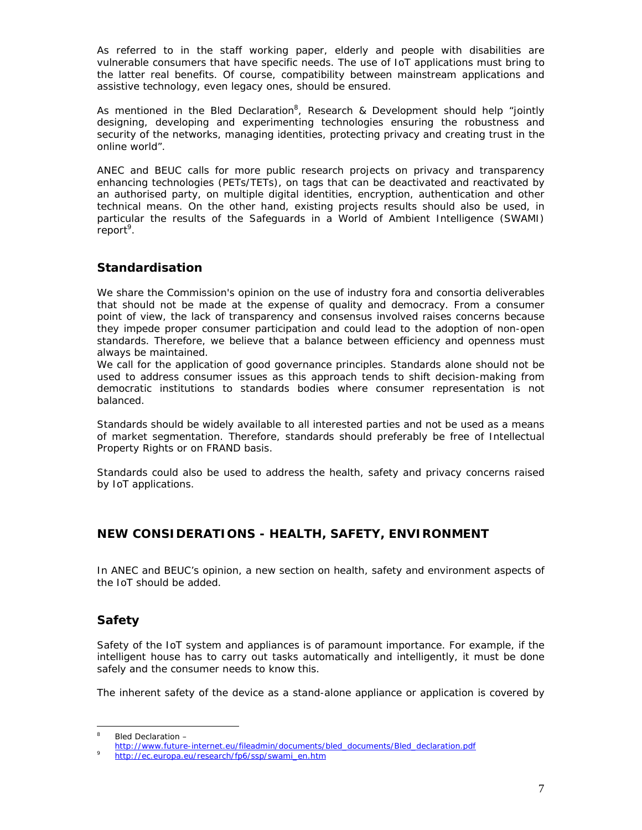As referred to in the staff working paper, elderly and people with disabilities are vulnerable consumers that have specific needs. The use of IoT applications must bring to the latter real benefits. Of course, compatibility between mainstream applications and assistive technology, even legacy ones, should be ensured.

As mentioned in the Bled Declaration<sup>8</sup>, Research & Development should help "*jointly designing, developing and experimenting technologies ensuring the robustness and security of the networks, managing identities, protecting privacy and creating trust in the online world*".

ANEC and BEUC calls for more public research projects on privacy and transparency enhancing technologies (PETs/TETs), on tags that can be deactivated and reactivated by an authorised party, on multiple digital identities, encryption, authentication and other technical means. On the other hand, existing projects results should also be used, in particular the results of the Safeguards in a World of Ambient Intelligence (SWAMI) report<sup>9</sup>.

# *Standardisation*

We share the Commission's opinion on the use of industry fora and consortia deliverables that should not be made at the expense of quality and democracy. From a consumer point of view, the lack of transparency and consensus involved raises concerns because they impede proper consumer participation and could lead to the adoption of non-open standards. Therefore, we believe that a balance between efficiency and openness must always be maintained.

We call for the application of good governance principles. Standards alone should not be used to address consumer issues as this approach tends to shift decision-making from democratic institutions to standards bodies where consumer representation is not balanced.

Standards should be widely available to all interested parties and not be used as a means of market segmentation. Therefore, standards should preferably be free of Intellectual Property Rights or on FRAND basis.

Standards could also be used to address the health, safety and privacy concerns raised by IoT applications.

# *NEW CONSIDERATIONS - HEALTH, SAFETY, ENVIRONMENT*

In ANEC and BEUC's opinion, a new section on health, safety and environment aspects of the IoT should be added.

# *Safety*

Safety of the IoT system and appliances is of paramount importance. For example, if the intelligent house has to carry out tasks automatically and intelligently, it must be done safely and the consumer needs to know this.

The inherent safety of the device as a stand-alone appliance or application is covered by

 $\frac{1}{8}$ Bled Declaration –

http://www.future-internet.eu/fileadmin/documents/bled\_documents/Bled\_declaration.pdf

http://ec.europa.eu/research/fp6/ssp/swami\_en.htm